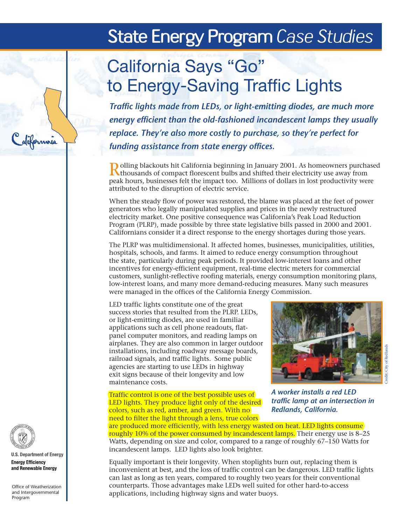## **State Energy Program** *Case Studies*

# California Says "Go" to Energy-Saving Traffic Lights

*Traffic lights made from LEDs, or light-emitting diodes, are much more energy efficient than the old-fashioned incandescent lamps they usually replace. They're also more costly to purchase, so they're perfect for funding assistance from state energy offices.*

Rolling blackouts hit California beginning in January 2001. As homeowners purchased **A** thousands of compact florescent bulbs and shifted their electricity use away from peak hours, businesses felt the impact too. Millions of dollars in lost productivity were attributed to the disruption of electric service.

When the steady flow of power was restored, the blame was placed at the feet of power generators who legally manipulated supplies and prices in the newly restructured electricity market. One positive consequence was California's Peak Load Reduction Program (PLRP), made possible by three state legislative bills passed in 2000 and 2001. Californians consider it a direct response to the energy shortages during those years.

The PLRP was multidimensional. It affected homes, businesses, municipalities, utilities, hospitals, schools, and farms. It aimed to reduce energy consumption throughout the state, particularly during peak periods. It provided low-interest loans and other incentives for energy-efficient equipment, real-time electric meters for commercial customers, sunlight-reflective roofing materials, energy consumption monitoring plans, low-interest loans, and many more demand-reducing measures. Many such measures were managed in the offices of the California Energy Commission.

LED traffic lights constitute one of the great success stories that resulted from the PLRP. LEDs, or light-emitting diodes, are used in familiar applications such as cell phone readouts, flatpanel computer monitors, and reading lamps on airplanes. They are also common in larger outdoor installations, including roadway message boards, railroad signals, and traffic lights. Some public agencies are starting to use LEDs in highway exit signs because of their longevity and low maintenance costs.

Traffic control is one of the best possible uses of LED lights. They produce light only of the desired colors, such as red, amber, and green. With no need to filter the light through a lens, true colors



*A worker installs a red LED traffic lamp at an intersection in Redlands, California.* 

are produced more efficiently, with less energy wasted on heat. LED lights consume roughly 10% of the power consumed by incandescent lamps. Their energy use is 8–25 Watts, depending on size and color, compared to a range of roughly 67–150 Watts for incandescent lamps. LED lights also look brighter.

Equally important is their longevity. When stoplights burn out, replacing them is inconvenient at best, and the loss of traffic control can be dangerous. LED traffic lights can last as long as ten years, compared to roughly two years for their conventional counterparts. Those advantages make LEDs well suited for other hard-to-access applications, including highway signs and water buoys.



**U.S. Department of Energy Energy Efficiency** and Renewable Energy

Califormnia

Office of Weatherization and Intergovernmental Program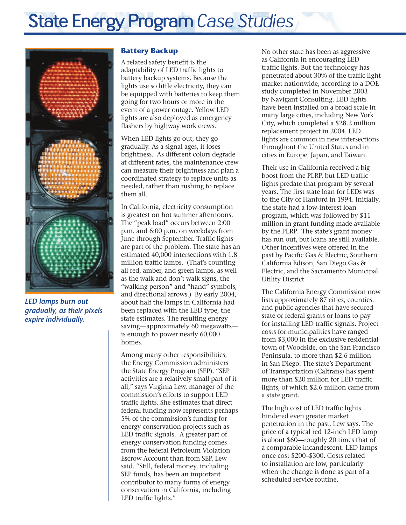

*LED lamps burn out gradually, as their pixels expire individually.*

#### **Battery Backup**

A related safety benefit is the adaptability of LED traffic lights to battery backup systems. Because the lights use so little electricity, they can be equipped with batteries to keep them going for two hours or more in the event of a power outage. Yellow LED lights are also deployed as emergency flashers by highway work crews.

When LED lights go out, they go gradually. As a signal ages, it loses brightness. As different colors degrade at different rates, the maintenance crew can measure their brightness and plan a coordinated strategy to replace units as needed, rather than rushing to replace them all.

In California, electricity consumption is greatest on hot summer afternoons. The "peak load" occurs between 2:00 p.m. and 6:00 p.m. on weekdays from June through September. Traffic lights are part of the problem. The state has an estimated 40,000 intersections with 1.8 million traffic lamps. (That's counting all red, amber, and green lamps, as well as the walk and don't walk signs, the "walking person" and "hand" symbols, and directional arrows.) By early 2004, about half the lamps in California had been replaced with the LED type, the state estimates. The resulting energy saving—approximately 60 megawatts is enough to power nearly 60,000 homes.

Among many other responsibilities, the Energy Commission administers the State Energy Program (SEP). "SEP activities are a relatively small part of it all," says Virginia Lew, manager of the commission's efforts to support LED traffic lights. She estimates that direct federal funding now represents perhaps 5% of the commission's funding for energy conservation projects such as LED traffic signals. A greater part of energy conservation funding comes from the federal Petroleum Violation Escrow Account than from SEP, Lew said. "Still, federal money, including SEP funds, has been an important contributor to many forms of energy conservation in California, including LED traffic lights."

No other state has been as aggressive as California in encouraging LED traffic lights. But the technology has penetrated about 30% of the traffic light market nationwide, according to a DOE study completed in November 2003 by Navigant Consulting. LED lights have been installed on a broad scale in many large cities, including New York City, which completed a \$28.2 million replacement project in 2004. LED lights are common in new intersections throughout the United States and in cities in Europe, Japan, and Taiwan.

Their use in California received a big boost from the PLRP, but LED traffic lights predate that program by several years. The first state loan for LEDs was to the City of Hanford in 1994. Initially, the state had a low-interest loan program, which was followed by \$11 million in grant funding made available by the PLRP. The state's grant money has run out, but loans are still available. Other incentives were offered in the past by Pacific Gas & Electric, Southern California Edison, San Diego Gas & Electric, and the Sacramento Municipal Utility District.

The California Energy Commission now lists approximately 87 cities, counties, and public agencies that have secured state or federal grants or loans to pay for installing LED traffic signals. Project costs for municipalities have ranged from \$3,000 in the exclusive residential town of Woodside, on the San Francisco Peninsula, to more than \$2.6 million in San Diego. The state's Department of Transportation (Caltrans) has spent more than \$20 million for LED traffic lights, of which \$2.6 million came from a state grant.

The high cost of LED traffic lights hindered even greater market penetration in the past, Lew says. The price of a typical red 12-inch LED lamp is about \$60—roughly 20 times that of a comparable incandescent. LED lamps once cost \$200–\$300. Costs related to installation are low, particularly when the change is done as part of a scheduled service routine.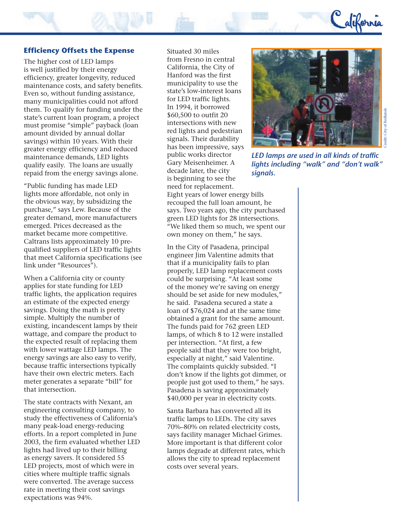

#### **Efficiency Offsets the Expense**

The higher cost of LED lamps is well justified by their energy efficiency, greater longevity, reduced maintenance costs, and safety benefits. Even so, without funding assistance, many municipalities could not afford them. To qualify for funding under the state's current loan program, a project must promise "simple" payback (loan amount divided by annual dollar savings) within 10 years. With their greater energy efficiency and reduced maintenance demands, LED lights qualify easily. The loans are usually repaid from the energy savings alone.

"Public funding has made LED lights more affordable, not only in the obvious way, by subsidizing the purchase," says Lew. Because of the greater demand, more manufacturers emerged. Prices decreased as the market became more competitive. Caltrans lists approximately 10 prequalified suppliers of LED traffic lights that meet California specifications (see link under "Resources").

When a California city or county applies for state funding for LED traffic lights, the application requires an estimate of the expected energy savings. Doing the math is pretty simple. Multiply the number of existing, incandescent lamps by their wattage, and compare the product to the expected result of replacing them with lower wattage LED lamps. The energy savings are also easy to verify, because traffic intersections typically have their own electric meters. Each meter generates a separate "bill" for that intersection.

The state contracts with Nexant, an engineering consulting company, to study the effectiveness of California's many peak-load energy-reducing efforts. In a report completed in June 2003, the firm evaluated whether LED lights had lived up to their billing as energy savers. It considered 55 LED projects, most of which were in cities where multiple traffic signals were converted. The average success rate in meeting their cost savings expectations was 94%.

Situated 30 miles from Fresno in central California, the City of Hanford was the first municipality to use the state's low-interest loans for LED traffic lights. In 1994, it borrowed \$60,500 to outfit 20 intersections with new red lights and pedestrian signals. Their durability has been impressive, says public works director Gary Meisenheimer. A decade later, the city is beginning to see the need for replacement.

Eight years of lower energy bills recouped the full loan amount, he says. Two years ago, the city purchased green LED lights for 28 intersections. "We liked them so much, we spent our own money on them," he says.

In the City of Pasadena, principal engineer Jim Valentine admits that that if a municipality fails to plan properly, LED lamp replacement costs could be surprising. "At least some of the money we're saving on energy should be set aside for new modules," he said. Pasadena secured a state a loan of \$76,024 and at the same time obtained a grant for the same amount. The funds paid for 762 green LED lamps, of which 8 to 12 were installed per intersection. "At first, a few people said that they were too bright, especially at night," said Valentine. The complaints quickly subsided. "I don't know if the lights got dimmer, or people just got used to them," he says. Pasadena is saving approximately \$40,000 per year in electricity costs.

Santa Barbara has converted all its traffic lamps to LEDs. The city saves 70%–80% on related electricity costs, says facility manager Michael Grimes. More important is that different color lamps degrade at different rates, which allows the city to spread replacement costs over several years.



*LED lamps are used in all kinds of traffic lights including "walk" and "don't walk" signals.*